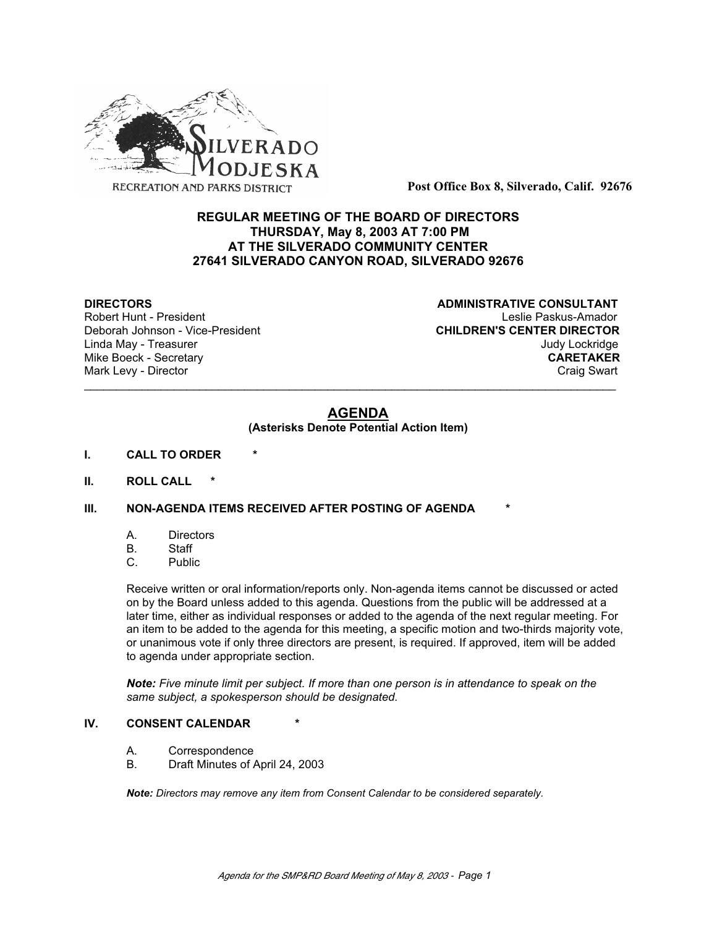

**Post Office Box 8, Silverado, Calif. 92676**

# **REGULAR MEETING OF THE BOARD OF DIRECTORS THURSDAY, May 8, 2003 AT 7:00 PM AT THE SILVERADO COMMUNITY CENTER 27641 SILVERADO CANYON ROAD, SILVERADO 92676**

Deborah Johnson - Vice-President

**DIRECTORS CONSULTANT** Robert Hunt - President<br>
Deborah Johnson - Vice-President 
Leslie Paskus-Amador<br>
CHILDREN'S CENTER DIRECTOR Linda May - Treasurer Judy Lockridge Mike Boeck - Secretary **CARETAKER** Mark Levy - Director **Craig Swart** Craig Swart Craig Swart Craig Swart

# **AGENDA**

\_\_\_\_\_\_\_\_\_\_\_\_\_\_\_\_\_\_\_\_\_\_\_\_\_\_\_\_\_\_\_\_\_\_\_\_\_\_\_\_\_\_\_\_\_\_\_\_\_\_\_\_\_\_\_\_\_\_\_\_\_\_\_\_\_\_\_\_\_\_\_\_\_\_\_\_\_\_\_\_\_\_\_

### **(Asterisks Denote Potential Action Item)**

- **I. CALL TO ORDER \***
- **II. ROLL CALL \***

### **III. NON-AGENDA ITEMS RECEIVED AFTER POSTING OF AGENDA**

- A. Directors
- B. Staff
- C. Public

Receive written or oral information/reports only. Non-agenda items cannot be discussed or acted on by the Board unless added to this agenda. Questions from the public will be addressed at a later time, either as individual responses or added to the agenda of the next regular meeting. For an item to be added to the agenda for this meeting, a specific motion and two-thirds majority vote, or unanimous vote if only three directors are present, is required. If approved, item will be added to agenda under appropriate section.

*Note: Five minute limit per subject. If more than one person is in attendance to speak on the same subject, a spokesperson should be designated.*

### **IV. CONSENT CALENDAR**

- A. Correspondence
- B. Draft Minutes of April 24, 2003

*Note: Directors may remove any item from Consent Calendar to be considered separately.*